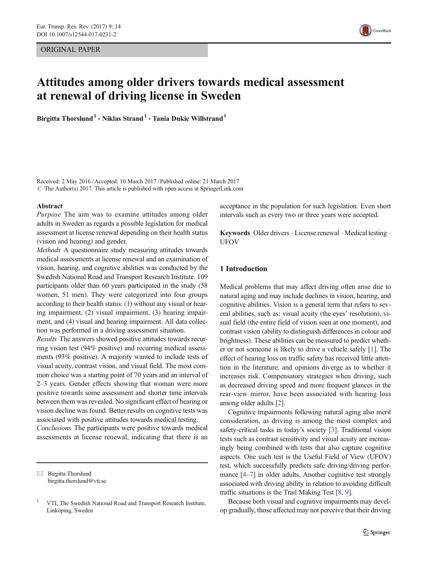ORIGINAL PAPER



# Attitudes among older drivers towards medical assessment at renewal of driving license in Sweden

Birgitta Thorslund<sup>1</sup>  $\cdot$  Niklas Strand<sup>1</sup>  $\cdot$  Tania Dukic Willstrand<sup>1</sup>

Received: 2 May 2016 /Accepted: 10 March 2017 /Published online: 21 March 2017  $\odot$  The Author(s) 2017. This article is published with open access at SpringerLink.com

#### Abstract

Purpose The aim was to examine attitudes among older adults in Sweden as regards a possible legislation for medical assessment at license renewal depending on their health status (vision and hearing) and gender.

Methods A questionnaire study measuring attitudes towards medical assessments at license renewal and an examination of vision, hearing, and cognitive abilities was conducted by the Swedish National Road and Transport Research Institute. 109 participants older than 60 years participated in the study (58 women, 51 men). They were categorized into four groups according to their health status: (1) without any visual or hearing impairment, (2) visual impairment, (3) hearing impairment, and (4) visual and hearing impairment. All data collection was performed in a driving assessment situation.

Results The answers showed positive attitudes towards recurring vision test (94% positive) and recurring medical assessments (93% positive). A majority wanted to include tests of visual acuity, contrast vision, and visual field. The most common choice was a starting point of 70 years and an interval of 2–3 years. Gender effects showing that woman were more positive towards some assessment and shorter time intervals between them was revealed. No significant effect of hearing or vision decline was found. Better results on cognitive tests was associated with positive attitudes towards medical testing.

Conclusions The participants were positive towards medical assessments at license renewal, indicating that there is an

 $\boxtimes$  Birgitta Thorslund birgitta.thorslund@vti.se acceptance in the population for such legislation. Even short intervals such as every two or three years were accepted.

Keywords Older drivers  $\cdot$  License renewal  $\cdot$  Medical testing  $\cdot$ UFOV

# 1 Introduction

Medical problems that may affect driving often arise due to natural aging and may include declines in vision, hearing, and cognitive abilities. Vision is a general term that refers to several abilities, such as: visual acuity (the eyes' resolution), visual field (the entire field of vision seen at one moment), and contrast vision (ability to distinguish differences in colour and brightness). These abilities can be measured to predict whether or not someone is likely to drive a vehicle safely [[1](#page-7-0)]. The effect of hearing loss on traffic safety has received little attention in the literature, and opinions diverge as to whether it increases risk. Compensatory strategies when driving, such as decreased driving speed and more frequent glances in the rear-view mirror, have been associated with hearing loss among older adults [[2\]](#page-7-0).

Cognitive impairments following natural aging also merit consideration, as driving is among the most complex and safety-critical tasks in today's society [[3\]](#page-7-0). Traditional vision tests such as contrast sensitivity and visual acuity are increasingly being combined with tests that also capture cognitive aspects. One such test is the Useful Field of View (UFOV) test, which successfully predicts safe driving/driving perfor-mance [[4](#page-7-0)–[7\]](#page-7-0) in older adults. Another cognitive test strongly associated with driving ability in relation to avoiding difficult traffic situations is the Trail Making Test [\[8](#page-7-0), [9](#page-7-0)].

Because both visual and cognitive impairments may develop gradually, those affected may not perceive that their driving

<sup>&</sup>lt;sup>1</sup> VTI, The Swedish National Road and Transport Research Institute, Linköping, Sweden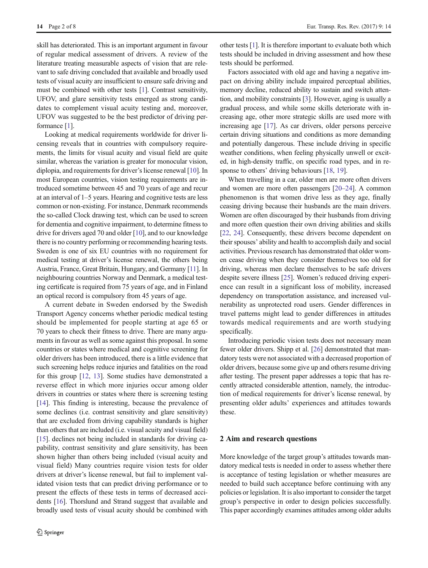skill has deteriorated. This is an important argument in favour of regular medical assessment of drivers. A review of the literature treating measurable aspects of vision that are relevant to safe driving concluded that available and broadly used tests of visual acuity are insufficient to ensure safe driving and must be combined with other tests [\[1\]](#page-7-0). Contrast sensitivity, UFOV, and glare sensitivity tests emerged as strong candidates to complement visual acuity testing and, moreover, UFOV was suggested to be the best predictor of driving performance [\[1](#page-7-0)].

Looking at medical requirements worldwide for driver licensing reveals that in countries with compulsory requirements, the limits for visual acuity and visual field are quite similar, whereas the variation is greater for monocular vision, diplopia, and requirements for driver's license renewal [[10\]](#page-7-0). In most European countries, vision testing requirements are introduced sometime between 45 and 70 years of age and recur at an interval of 1–5 years. Hearing and cognitive tests are less common or non-existing. For instance, Denmark recommends the so-called Clock drawing test, which can be used to screen for dementia and cognitive impairment, to determine fitness to drive for drivers aged 70 and older [\[10](#page-7-0)], and to our knowledge there is no country performing or recommending hearing tests. Sweden is one of six EU countries with no requirement for medical testing at driver's license renewal, the others being Austria, France, Great Britain, Hungary, and Germany [\[11](#page-7-0)]. In neighbouring countries Norway and Denmark, a medical testing certificate is required from 75 years of age, and in Finland an optical record is compulsory from 45 years of age.

A current debate in Sweden endorsed by the Swedish Transport Agency concerns whether periodic medical testing should be implemented for people starting at age 65 or 70 years to check their fitness to drive. There are many arguments in favour as well as some against this proposal. In some countries or states where medical and cognitive screening for older drivers has been introduced, there is a little evidence that such screening helps reduce injuries and fatalities on the road for this group [[12,](#page-7-0) [13\]](#page-7-0). Some studies have demonstrated a reverse effect in which more injuries occur among older drivers in countries or states where there is screening testing [\[14](#page-7-0)]. This finding is interesting, because the prevalence of some declines (i.e. contrast sensitivity and glare sensitivity) that are excluded from driving capability standards is higher than others that are included (i.e. visual acuity and visual field) [\[15\]](#page-7-0). declines not being included in standards for driving capability, contrast sensitivity and glare sensitivity, has been shown higher than others being included (visual acuity and visual field) Many countries require vision tests for older drivers at driver's license renewal, but fail to implement validated vision tests that can predict driving performance or to present the effects of these tests in terms of decreased accidents [\[16\]](#page-7-0). Thorslund and Strand suggest that available and broadly used tests of visual acuity should be combined with other tests [[1\]](#page-7-0). It is therefore important to evaluate both which tests should be included in driving assessment and how these tests should be performed.

Factors associated with old age and having a negative impact on driving ability include impaired perceptual abilities, memory decline, reduced ability to sustain and switch attention, and mobility constraints [\[3](#page-7-0)]. However, aging is usually a gradual process, and while some skills deteriorate with increasing age, other more strategic skills are used more with increasing age [[17\]](#page-7-0). As car drivers, older persons perceive certain driving situations and conditions as more demanding and potentially dangerous. These include driving in specific weather conditions, when feeling physically unwell or excited, in high-density traffic, on specific road types, and in re-sponse to others' driving behaviours [[18](#page-7-0), [19](#page-7-0)].

When travelling in a car, older men are more often drivers and women are more often passengers [\[20](#page-7-0)–[24\]](#page-7-0). A common phenomenon is that women drive less as they age, finally ceasing driving because their husbands are the main drivers. Women are often discouraged by their husbands from driving and more often question their own driving abilities and skills [\[22](#page-7-0), [24\]](#page-7-0). Consequently, these drivers become dependent on their spouses' ability and health to accomplish daily and social activities. Previous research has demonstrated that older women cease driving when they consider themselves too old for driving, whereas men declare themselves to be safe drivers despite severe illness [[25](#page-7-0)]. Women's reduced driving experience can result in a significant loss of mobility, increased dependency on transportation assistance, and increased vulnerability as unprotected road users. Gender differences in travel patterns might lead to gender differences in attitudes towards medical requirements and are worth studying specifically.

Introducing periodic vision tests does not necessary mean fewer older drivers. Shipp et al. [\[26\]](#page-7-0) demonstrated that mandatory tests were not associated with a decreased proportion of older drivers, because some give up and others resume driving after testing. The present paper addresses a topic that has recently attracted considerable attention, namely, the introduction of medical requirements for driver's license renewal, by presenting older adults' experiences and attitudes towards these.

## 2 Aim and research questions

More knowledge of the target group's attitudes towards mandatory medical tests is needed in order to assess whether there is acceptance of testing legislation or whether measures are needed to build such acceptance before continuing with any policies or legislation. It is also important to consider the target group's perspective in order to design policies successfully. This paper accordingly examines attitudes among older adults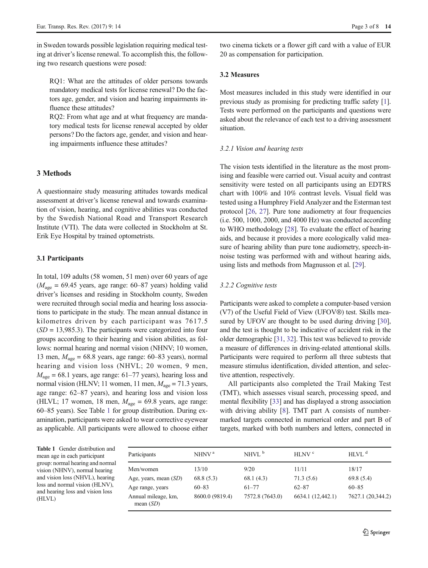in Sweden towards possible legislation requiring medical testing at driver's license renewal. To accomplish this, the following two research questions were posed:

RQ1: What are the attitudes of older persons towards mandatory medical tests for license renewal? Do the factors age, gender, and vision and hearing impairments influence these attitudes?

RQ2: From what age and at what frequency are mandatory medical tests for license renewal accepted by older persons? Do the factors age, gender, and vision and hearing impairments influence these attitudes?

# 3 Methods

A questionnaire study measuring attitudes towards medical assessment at driver's license renewal and towards examination of vision, hearing, and cognitive abilities was conducted by the Swedish National Road and Transport Research Institute (VTI). The data were collected in Stockholm at St. Erik Eye Hospital by trained optometrists.

#### 3.1 Participants

In total, 109 adults (58 women, 51 men) over 60 years of age  $(M<sub>age</sub> = 69.45 \text{ years}, \text{ age range: } 60-87 \text{ years})$  holding valid driver's licenses and residing in Stockholm county, Sweden were recruited through social media and hearing loss associations to participate in the study. The mean annual distance in kilometres driven by each participant was 7617.5  $(SD = 13,985.3)$ . The participants were categorized into four groups according to their hearing and vision abilities, as follows: normal hearing and normal vision (NHNV; 10 women, 13 men,  $M<sub>age</sub> = 68.8$  years, age range: 60–83 years), normal hearing and vision loss (NHVL; 20 women, 9 men,  $M<sub>age</sub> = 68.1$  years, age range: 61–77 years), hearing loss and normal vision (HLNV; 11 women, 11 men,  $M<sub>age</sub> = 71.3$  years, age range: 62–87 years), and hearing loss and vision loss (HLVL; 17 women, 18 men,  $M_{\text{age}} = 69.8$  years, age range: 60–85 years). See Table 1 for group distribution. During examination, participants were asked to wear corrective eyewear as applicable. All participants were allowed to choose either two cinema tickets or a flower gift card with a value of EUR 20 as compensation for participation.

# 3.2 Measures

Most measures included in this study were identified in our previous study as promising for predicting traffic safety [[1\]](#page-7-0). Tests were performed on the participants and questions were asked about the relevance of each test to a driving assessment situation.

## 3.2.1 Vision and hearing tests

The vision tests identified in the literature as the most promising and feasible were carried out. Visual acuity and contrast sensitivity were tested on all participants using an EDTRS chart with 100% and 10% contrast levels. Visual field was tested using a Humphrey Field Analyzer and the Esterman test protocol [\[26,](#page-7-0) [27\]](#page-7-0). Pure tone audiometry at four frequencies (i.e. 500, 1000, 2000, and 4000 Hz) was conducted according to WHO methodology [[28\]](#page-7-0). To evaluate the effect of hearing aids, and because it provides a more ecologically valid measure of hearing ability than pure tone audiometry, speech-innoise testing was performed with and without hearing aids, using lists and methods from Magnusson et al. [[29\]](#page-7-0).

## 3.2.2 Cognitive tests

Participants were asked to complete a computer-based version (V7) of the Useful Field of View (UFOV®) test. Skills mea-sured by UFOV are thought to be used during driving [[30\]](#page-7-0), and the test is thought to be indicative of accident risk in the older demographic [\[31](#page-7-0), [32\]](#page-7-0). This test was believed to provide a measure of differences in driving-related attentional skills. Participants were required to perform all three subtests that measure stimulus identification, divided attention, and selective attention, respectively.

All participants also completed the Trail Making Test (TMT), which assesses visual search, processing speed, and mental flexibility [[33\]](#page-7-0) and has displayed a strong association with driving ability [[8](#page-7-0)]. TMT part A consists of numbermarked targets connected in numerical order and part B of targets, marked with both numbers and letters, connected in

Table 1 Gender distribution and mean age in each participant group: normal hearing and normal vision (NHNV), normal hearing and vision loss (NHVL), hearing loss and normal vision (HLNV), and hearing loss and vision loss (HLVL)

| Participants                       | NHNV <sup>a</sup> | NHVL $b$        | HINV <sup>c</sup> | HIM <sup>d</sup>  |
|------------------------------------|-------------------|-----------------|-------------------|-------------------|
| Men/women                          | 13/10             | 9/20            | 11/11             | 18/17             |
| Age, years, mean $(SD)$            | 68.8(5.3)         | 68.1 (4.3)      | 71.3(5.6)         | 69.8(5.4)         |
| Age range, years                   | $60 - 83$         | $61 - 77$       | $62 - 87$         | $60 - 85$         |
| Annual mileage, km,<br>mean $(SD)$ | 8600.0 (9819.4)   | 7572.8 (7643.0) | 6634.1 (12,442.1) | 7627.1 (20,344.2) |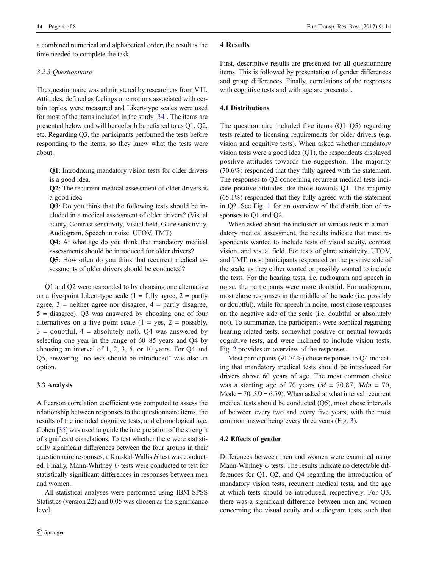a combined numerical and alphabetical order; the result is the time needed to complete the task.

## 3.2.3 Questionnaire

The questionnaire was administered by researchers from VTI. Attitudes, defined as feelings or emotions associated with certain topics, were measured and Likert-type scales were used for most of the items included in the study [\[34\]](#page-7-0). The items are presented below and will henceforth be referred to as Q1, Q2, etc. Regarding Q3, the participants performed the tests before responding to the items, so they knew what the tests were about.

Q1: Introducing mandatory vision tests for older drivers is a good idea.

Q2: The recurrent medical assessment of older drivers is a good idea.

Q3: Do you think that the following tests should be included in a medical assessment of older drivers? (Visual acuity, Contrast sensitivity, Visual field, Glare sensitivity, Audiogram, Speech in noise, UFOV, TMT)

Q4: At what age do you think that mandatory medical assessments should be introduced for older drivers?

Q5: How often do you think that recurrent medical assessments of older drivers should be conducted?

Q1 and Q2 were responded to by choosing one alternative on a five-point Likert-type scale  $(1 = \text{fully agree}, 2 = \text{partly})$ agree,  $3$  = neither agree nor disagree,  $4$  = partly disagree,  $5 =$  disagree). Q3 was answered by choosing one of four alternatives on a five-point scale  $(1 = yes, 2 = possibly,$  $3 =$  doubtful,  $4 =$  absolutely not). Q4 was answered by selecting one year in the range of 60–85 years and Q4 by choosing an interval of 1, 2, 3, 5, or 10 years. For Q4 and Q5, answering "no tests should be introduced" was also an option.

# 3.3 Analysis

A Pearson correlation coefficient was computed to assess the relationship between responses to the questionnaire items, the results of the included cognitive tests, and chronological age. Cohen [[35](#page-7-0)] was used to guide the interpretation of the strength of significant correlations. To test whether there were statistically significant differences between the four groups in their questionnaire responses, a Kruskal-Wallis H test was conducted. Finally, Mann-Whitney U tests were conducted to test for statistically significant differences in responses between men and women.

All statistical analyses were performed using IBM SPSS Statistics (version 22) and 0.05 was chosen as the significance level.

# 4 Results

First, descriptive results are presented for all questionnaire items. This is followed by presentation of gender differences and group differences. Finally, correlations of the responses with cognitive tests and with age are presented.

## 4.1 Distributions

The questionnaire included five items (Q1–Q5) regarding tests related to licensing requirements for older drivers (e.g. vision and cognitive tests). When asked whether mandatory vision tests were a good idea (Q1), the respondents displayed positive attitudes towards the suggestion. The majority (70.6%) responded that they fully agreed with the statement. The responses to Q2 concerning recurrent medical tests indicate positive attitudes like those towards Q1. The majority (65.1%) responded that they fully agreed with the statement in Q2. See Fig. [1](#page-4-0) for an overview of the distribution of responses to Q1 and Q2.

When asked about the inclusion of various tests in a mandatory medical assessment, the results indicate that most respondents wanted to include tests of visual acuity, contrast vision, and visual field. For tests of glare sensitivity, UFOV, and TMT, most participants responded on the positive side of the scale, as they either wanted or possibly wanted to include the tests. For the hearing tests, i.e. audiogram and speech in noise, the participants were more doubtful. For audiogram, most chose responses in the middle of the scale (i.e. possibly or doubtful), while for speech in noise, most chose responses on the negative side of the scale (i.e. doubtful or absolutely not). To summarize, the participants were sceptical regarding hearing-related tests, somewhat positive or neutral towards cognitive tests, and were inclined to include vision tests. Fig. [2](#page-4-0) provides an overview of the responses.

Most participants (91.74%) chose responses to Q4 indicating that mandatory medical tests should be introduced for drivers above 60 years of age. The most common choice was a starting age of 70 years ( $M = 70.87$ ,  $Mdn = 70$ , Mode = 70,  $SD = 6.59$ ). When asked at what interval recurrent medical tests should be conducted (Q5), most chose intervals of between every two and every five years, with the most common answer being every three years (Fig. [3](#page-5-0)).

## 4.2 Effects of gender

Differences between men and women were examined using Mann-Whitney U tests. The results indicate no detectable differences for Q1, Q2, and Q4 regarding the introduction of mandatory vision tests, recurrent medical tests, and the age at which tests should be introduced, respectively. For Q3, there was a significant difference between men and women concerning the visual acuity and audiogram tests, such that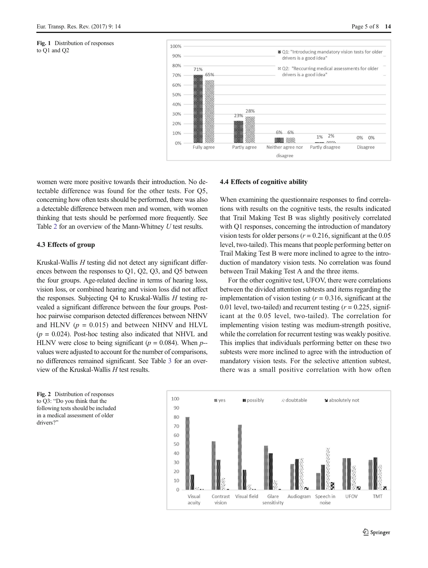<span id="page-4-0"></span>



women were more positive towards their introduction. No detectable difference was found for the other tests. For Q5, concerning how often tests should be performed, there was also a detectable difference between men and women, with women thinking that tests should be performed more frequently. See Table [2](#page-5-0) for an overview of the Mann-Whitney U test results.

#### 4.3 Effects of group

Kruskal-Wallis  $H$  testing did not detect any significant differences between the responses to Q1, Q2, Q3, and Q5 between the four groups. Age-related decline in terms of hearing loss, vision loss, or combined hearing and vision loss did not affect the responses. Subjecting  $Q4$  to Kruskal-Wallis  $H$  testing revealed a significant difference between the four groups. Posthoc pairwise comparison detected differences between NHNV and HLNV ( $p = 0.015$ ) and between NHNV and HLVL  $(p = 0.024)$ . Post-hoc testing also indicated that NHVL and HLNV were close to being significant ( $p = 0.084$ ). When  $p$ -values were adjusted to account for the number of comparisons, no differences remained significant. See Table [3](#page-6-0) for an overview of the Kruskal-Wallis  $H$  test results.

## 4.4 Effects of cognitive ability

When examining the questionnaire responses to find correlations with results on the cognitive tests, the results indicated that Trail Making Test B was slightly positively correlated with Q1 responses, concerning the introduction of mandatory vision tests for older persons ( $r = 0.216$ , significant at the 0.05 level, two-tailed). This means that people performing better on Trail Making Test B were more inclined to agree to the introduction of mandatory vision tests. No correlation was found between Trail Making Test A and the three items.

For the other cognitive test, UFOV, there were correlations between the divided attention subtests and items regarding the implementation of vision testing  $(r = 0.316$ , significant at the 0.01 level, two-tailed) and recurrent testing  $(r = 0.225,$  significant at the 0.05 level, two-tailed). The correlation for implementing vision testing was medium-strength positive, while the correlation for recurrent testing was weakly positive. This implies that individuals performing better on these two subtests were more inclined to agree with the introduction of mandatory vision tests. For the selective attention subtest, there was a small positive correlation with how often

Fig. 2 Distribution of responses to Q3: "Do you think that the following tests should be included in a medical assessment of older drivers?'

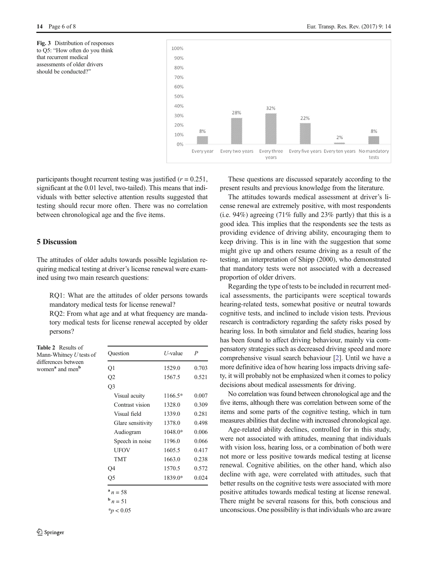<span id="page-5-0"></span>Fig. 3 Distribution of responses to Q5: "How often do you think that recurrent medical assessments of older drivers should be conducted?"



participants thought recurrent testing was justified  $(r = 0.251)$ , significant at the 0.01 level, two-tailed). This means that individuals with better selective attention results suggested that testing should recur more often. There was no correlation between chronological age and the five items.

# 5 Discussion

The attitudes of older adults towards possible legislation requiring medical testing at driver's license renewal were examined using two main research questions:

RQ1: What are the attitudes of older persons towards mandatory medical tests for license renewal?

RQ2: From what age and at what frequency are mandatory medical tests for license renewal accepted by older persons?

Table 2 Results of Mann-Whitney U tests of differences between women<sup>a</sup> and men<sup>b</sup>

| Question          | $U$ -value | $\boldsymbol{P}$<br>0.703 |  |
|-------------------|------------|---------------------------|--|
| Q1                | 1529.0     |                           |  |
| Q <sub>2</sub>    | 1567.5     | 0.521                     |  |
| Q3                |            |                           |  |
| Visual acuity     | 1166.5*    | 0.007                     |  |
| Contrast vision   | 1328.0     | 0.309                     |  |
| Visual field      | 1339.0     | 0.281                     |  |
| Glare sensitivity | 1378.0     | 0.498                     |  |
| Audiogram         | $1048.0*$  | 0.006                     |  |
| Speech in noise   | 1196.0     | 0.066                     |  |
| <b>UFOV</b>       | 1605.5     | 0.417                     |  |
| <b>TMT</b>        | 1663.0     | 0.238                     |  |
| Q4                | 1570.5     | 0.572                     |  |
| Q <sub>5</sub>    | 1839.0*    | 0.024                     |  |

 $n = 51$ 

 $*_{p}$  < 0.05

 $\hat{Z}$  Springer

These questions are discussed separately according to the present results and previous knowledge from the literature.

The attitudes towards medical assessment at driver's license renewal are extremely positive, with most respondents (i.e. 94%) agreeing (71% fully and 23% partly) that this is a good idea. This implies that the respondents see the tests as providing evidence of driving ability, encouraging them to keep driving. This is in line with the suggestion that some might give up and others resume driving as a result of the testing, an interpretation of Shipp (2000), who demonstrated that mandatory tests were not associated with a decreased proportion of older drivers.

Regarding the type of tests to be included in recurrent medical assessments, the participants were sceptical towards hearing-related tests, somewhat positive or neutral towards cognitive tests, and inclined to include vision tests. Previous research is contradictory regarding the safety risks posed by hearing loss. In both simulator and field studies, hearing loss has been found to affect driving behaviour, mainly via compensatory strategies such as decreased driving speed and more comprehensive visual search behaviour [\[2\]](#page-7-0). Until we have a more definitive idea of how hearing loss impacts driving safety, it will probably not be emphasized when it comes to policy decisions about medical assessments for driving.

No correlation was found between chronological age and the five items, although there was correlation between some of the items and some parts of the cognitive testing, which in turn measures abilities that decline with increased chronological age.

Age-related ability declines, controlled for in this study, were not associated with attitudes, meaning that individuals with vision loss, hearing loss, or a combination of both were not more or less positive towards medical testing at license renewal. Cognitive abilities, on the other hand, which also decline with age, were correlated with attitudes, such that better results on the cognitive tests were associated with more positive attitudes towards medical testing at license renewal. There might be several reasons for this, both conscious and unconscious. One possibility is that individuals who are aware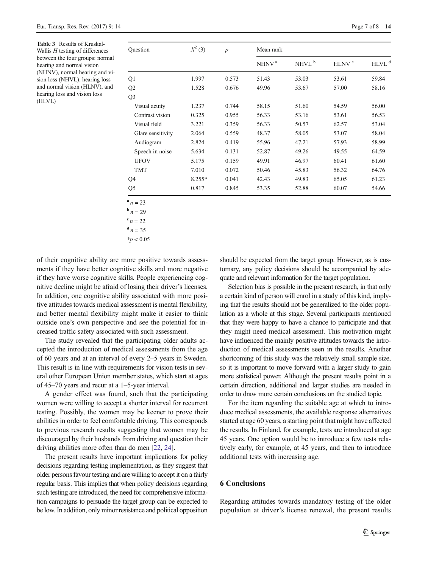<span id="page-6-0"></span>

| Ouestion          | $X^2$ (3) | $\boldsymbol{p}$ | Mean rank         |                   |                   |                   |
|-------------------|-----------|------------------|-------------------|-------------------|-------------------|-------------------|
|                   |           |                  | NHNV <sup>a</sup> | NHVL <sup>b</sup> | HLNV <sup>c</sup> | HLVL <sup>d</sup> |
| Q <sub>1</sub>    | 1.997     | 0.573            | 51.43             | 53.03             | 53.61             | 59.84             |
| Q2                | 1.528     | 0.676            | 49.96             | 53.67             | 57.00             | 58.16             |
| Q <sub>3</sub>    |           |                  |                   |                   |                   |                   |
| Visual acuity     | 1.237     | 0.744            | 58.15             | 51.60             | 54.59             | 56.00             |
| Contrast vision   | 0.325     | 0.955            | 56.33             | 53.16             | 53.61             | 56.53             |
| Visual field      | 3.221     | 0.359            | 56.33             | 50.57             | 62.57             | 53.04             |
| Glare sensitivity | 2.064     | 0.559            | 48.37             | 58.05             | 53.07             | 58.04             |
| Audiogram         | 2.824     | 0.419            | 55.96             | 47.21             | 57.93             | 58.99             |
| Speech in noise   | 5.634     | 0.131            | 52.87             | 49.26             | 49.55             | 64.59             |
| <b>UFOV</b>       | 5.175     | 0.159            | 49.91             | 46.97             | 60.41             | 61.60             |
| TMT               | 7.010     | 0.072            | 50.46             | 45.83             | 56.32             | 64.76             |
| Q4                | $8.255*$  | 0.041            | 42.43             | 49.83             | 65.05             | 61.23             |
| Q <sub>5</sub>    | 0.817     | 0.845            | 53.35             | 52.88             | 60.07             | 54.66             |

 $n = 23$ 

**<sub>n</sub> = 29** 

 $^{c} n = 22$ 

 $\frac{d}{n}$  n = 35

 $*$ *p* < 0.05

of their cognitive ability are more positive towards assessments if they have better cognitive skills and more negative if they have worse cognitive skills. People experiencing cognitive decline might be afraid of losing their driver's licenses. In addition, one cognitive ability associated with more positive attitudes towards medical assessment is mental flexibility, and better mental flexibility might make it easier to think outside one's own perspective and see the potential for increased traffic safety associated with such assessment.

The study revealed that the participating older adults accepted the introduction of medical assessments from the age of 60 years and at an interval of every 2–5 years in Sweden. This result is in line with requirements for vision tests in several other European Union member states, which start at ages of 45–70 years and recur at a 1–5-year interval.

A gender effect was found, such that the participating women were willing to accept a shorter interval for recurrent testing. Possibly, the women may be keener to prove their abilities in order to feel comfortable driving. This corresponds to previous research results suggesting that women may be discouraged by their husbands from driving and question their driving abilities more often than do men [[22,](#page-7-0) [24\]](#page-7-0).

The present results have important implications for policy decisions regarding testing implementation, as they suggest that older persons favour testing and are willing to accept it on a fairly regular basis. This implies that when policy decisions regarding such testing are introduced, the need for comprehensive information campaigns to persuade the target group can be expected to be low. In addition, only minor resistance and political opposition should be expected from the target group. However, as is customary, any policy decisions should be accompanied by adequate and relevant information for the target population.

Selection bias is possible in the present research, in that only a certain kind of person will enrol in a study of this kind, implying that the results should not be generalized to the older population as a whole at this stage. Several participants mentioned that they were happy to have a chance to participate and that they might need medical assessment. This motivation might have influenced the mainly positive attitudes towards the introduction of medical assessments seen in the results. Another shortcoming of this study was the relatively small sample size, so it is important to move forward with a larger study to gain more statistical power. Although the present results point in a certain direction, additional and larger studies are needed in order to draw more certain conclusions on the studied topic.

For the item regarding the suitable age at which to introduce medical assessments, the available response alternatives started at age 60 years, a starting point that might have affected the results. In Finland, for example, tests are introduced at age 45 years. One option would be to introduce a few tests relatively early, for example, at 45 years, and then to introduce additional tests with increasing age.

# 6 Conclusions

Regarding attitudes towards mandatory testing of the older population at driver's license renewal, the present results